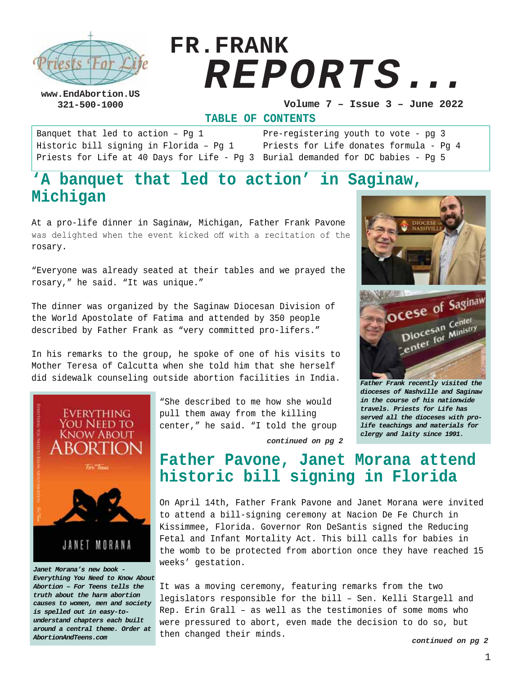

# **FR.FRANK**  *REPORTS...*

**www.EndAbortion.US** 

**321-500-1000 Volume 7 – Issue 3 – June 2022**

**TABLE OF CONTENTS**

Banquet that led to action – Pg 1 Historic bill signing in Florida – Pg 1 Priests for Life at 40 Days for Life - Pg 3 Burial demanded for DC babies - Pg 5

Pre-registering youth to vote - pg 3 Priests for Life donates formula - Pg 4

# **'A banquet that led to action' in Saginaw, Michigan**

At a pro-life dinner in Saginaw, Michigan, Father Frank Pavone was delighted when the event kicked off with a recitation of the rosary.

"Everyone was already seated at their tables and we prayed the rosary," he said. "It was unique."

The dinner was organized by the Saginaw Diocesan Division of the World Apostolate of Fatima and attended by 350 people described by Father Frank as "very committed pro-lifers."

In his remarks to the group, he spoke of one of his visits to Mother Teresa of Calcutta when she told him that she herself did sidewalk counseling outside abortion facilities in India.



*Everything You Need to Know About Abortion – For Teens tells the truth about the harm abortion causes to women, men and society is spelled out in easy-tounderstand chapters each built around a central theme. Order at AbortionAndTeens.com*

"She described to me how she would pull them away from the killing center," he said. "I told the group



*Father Frank recently visited the dioceses of Nashville and Saginaw in the course of his nationwide travels. Priests for Life has served all the dioceses with prolife teachings and materials for clergy and laity since 1991.*

# **Father Pavone, Janet Morana attend historic bill signing in Florida**

*continued on pg 2*

On April 14th, Father Frank Pavone and Janet Morana were invited to attend a bill-signing ceremony at Nacion De Fe Church in Kissimmee, Florida. Governor Ron DeSantis signed the Reducing Fetal and Infant Mortality Act. This bill calls for babies in the womb to be protected from abortion once they have reached 15 weeks' gestation.

It was a moving ceremony, featuring remarks from the two legislators responsible for the bill – Sen. Kelli Stargell and Rep. Erin Grall – as well as the testimonies of some moms who were pressured to abort, even made the decision to do so, but then changed their minds.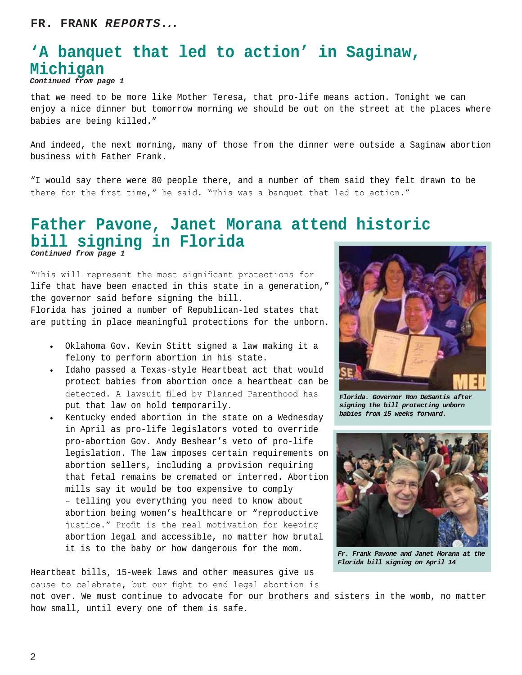### **'A banquet that led to action' in Saginaw, Michigan** *Continued from page 1*

that we need to be more like Mother Teresa, that pro-life means action. Tonight we can enjoy a nice dinner but tomorrow morning we should be out on the street at the places where babies are being killed."

And indeed, the next morning, many of those from the dinner were outside a Saginaw abortion business with Father Frank.

"I would say there were 80 people there, and a number of them said they felt drawn to be there for the first time," he said. "This was a banquet that led to action."

### **Father Pavone, Janet Morana attend historic bill signing in Florida** *Continued from page 1*

"This will represent the most significant protections for life that have been enacted in this state in a generation," the governor said before signing the bill.

Florida has joined a number of Republican-led states that are putting in place meaningful protections for the unborn.

- Oklahoma Gov. Kevin Stitt signed a law making it a felony to perform abortion in his state.
- Idaho passed a Texas-style Heartbeat act that would protect babies from abortion once a heartbeat can be detected. A lawsuit filed by Planned Parenthood has put that law on hold temporarily.
- Kentucky ended abortion in the state on a Wednesday in April as pro-life legislators voted to override pro-abortion Gov. Andy Beshear's veto of pro-life legislation. The law imposes certain requirements on abortion sellers, including a provision requiring that fetal remains be cremated or interred. Abortion mills say it would be too expensive to comply – telling you everything you need to know about abortion being women's healthcare or "reproductive justice." Profit is the real motivation for keeping abortion legal and accessible, no matter how brutal it is to the baby or how dangerous for the mom.

Heartbeat bills, 15-week laws and other measures give us cause to celebrate, but our fight to end legal abortion is



*Florida. Governor Ron DeSantis after signing the bill protecting unborn babies from 15 weeks forward.*



*Fr. Frank Pavone and Janet Morana at the Florida bill signing on April 14*

not over. We must continue to advocate for our brothers and sisters in the womb, no matter how small, until every one of them is safe.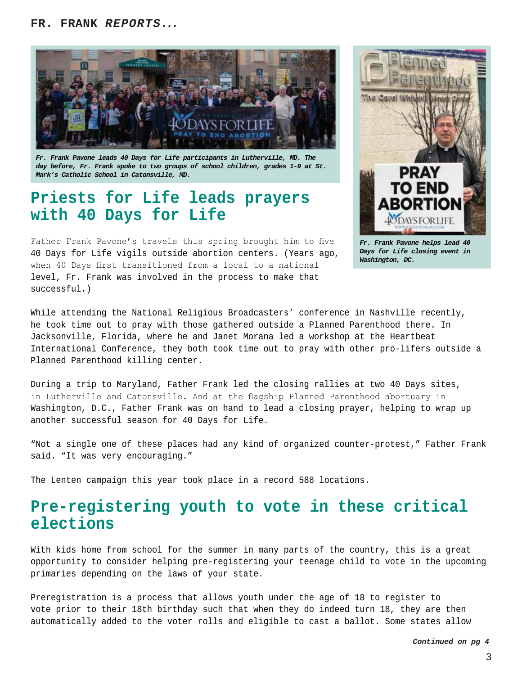

*Fr. Frank Pavone leads 40 Days for Life participants in Lutherville, MD. The day before, Fr. Frank spoke to two groups of school children, grades 1-9 at St. Mark's Catholic School in Catonsville, MD.*

# **Priests for Life leads prayers with 40 Days for Life**

Father Frank Pavone's travels this spring brought him to five 40 Days for Life vigils outside abortion centers. (Years ago, when 40 Days first transitioned from a local to a national level, Fr. Frank was involved in the process to make that successful.)



*Fr. Frank Pavone helps lead 40 Days for Life closing event in Washington, DC.*

While attending the National Religious Broadcasters' conference in Nashville recently, he took time out to pray with those gathered outside a Planned Parenthood there. In Jacksonville, Florida, where he and Janet Morana led a workshop at the Heartbeat International Conference, they both took time out to pray with other pro-lifers outside a Planned Parenthood killing center.

During a trip to Maryland, Father Frank led the closing rallies at two 40 Days sites, in Lutherville and Catonsville. And at the flagship Planned Parenthood abortuary in Washington, D.C., Father Frank was on hand to lead a closing prayer, helping to wrap up another successful season for 40 Days for Life.

"Not a single one of these places had any kind of organized counter-protest," Father Frank said. "It was very encouraging."

The Lenten campaign this year took place in a record 588 locations.

# **Pre-registering youth to vote in these critical elections**

With kids home from school for the summer in many parts of the country, this is a great opportunity to consider helping pre-registering your teenage child to vote in the upcoming primaries depending on the laws of your state.

Preregistration is a process that allows youth under the age of 18 to register to vote prior to their 18th birthday such that when they do indeed turn 18, they are then automatically added to the voter rolls and eligible to cast a ballot. Some states allow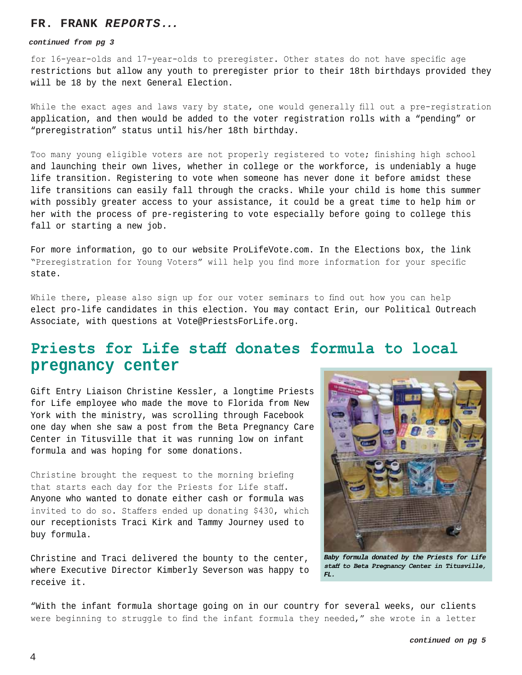#### **FR. FRANK** *REPORTS...*

#### *continued from pg 3*

for 16-year-olds and 17-year-olds to preregister. Other states do not have specific age restrictions but allow any youth to preregister prior to their 18th birthdays provided they will be 18 by the next General Election.

While the exact ages and laws vary by state, one would generally fill out a pre-registration application, and then would be added to the voter registration rolls with a "pending" or "preregistration" status until his/her 18th birthday.

Too many young eligible voters are not properly registered to vote; finishing high school and launching their own lives, whether in college or the workforce, is undeniably a huge life transition. Registering to vote when someone has never done it before amidst these life transitions can easily fall through the cracks. While your child is home this summer with possibly greater access to your assistance, it could be a great time to help him or her with the process of pre-registering to vote especially before going to college this fall or starting a new job.

For more information, go to our website ProLifeVote.com. In the Elections box, the link "Preregistration for Young Voters" will help you find more information for your specific state.

While there, please also sign up for our voter seminars to find out how you can help elect pro-life candidates in this election. You may contact Erin, our Political Outreach Associate, with questions at Vote@PriestsForLife.org.

# Priests for Life staff donates formula to local **pregnancy center**

Gift Entry Liaison Christine Kessler, a longtime Priests for Life employee who made the move to Florida from New York with the ministry, was scrolling through Facebook one day when she saw a post from the Beta Pregnancy Care Center in Titusville that it was running low on infant formula and was hoping for some donations.

Christine brought the request to the morning briefing that starts each day for the Priests for Life staff. Anyone who wanted to donate either cash or formula was invited to do so. Staffers ended up donating \$430, which our receptionists Traci Kirk and Tammy Journey used to buy formula.

Christine and Traci delivered the bounty to the center, where Executive Director Kimberly Severson was happy to receive it.



*Baby formula donated by the Priests for Life*  staff to Beta Pregnancy Center in Titusville, *FL.*

"With the infant formula shortage going on in our country for several weeks, our clients were beginning to struggle to find the infant formula they needed," she wrote in a letter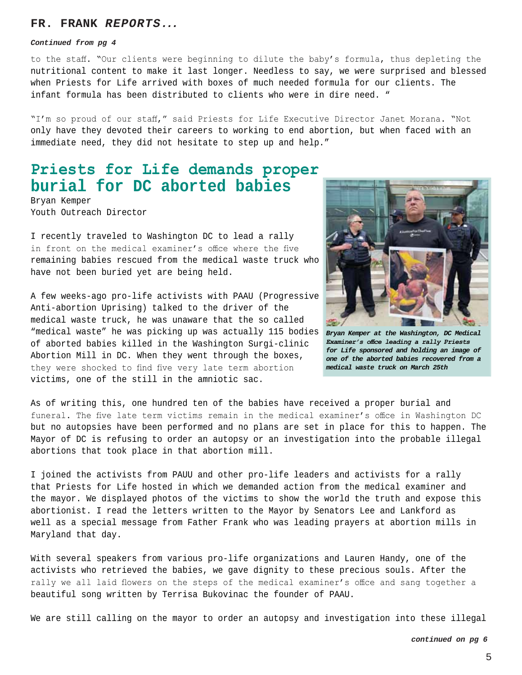#### **FR. FRANK** *REPORTS...*

#### *Continued from pg 4*

to the staff. "Our clients were beginning to dilute the baby's formula, thus depleting the nutritional content to make it last longer. Needless to say, we were surprised and blessed when Priests for Life arrived with boxes of much needed formula for our clients. The infant formula has been distributed to clients who were in dire need. "

"I'm so proud of our staff," said Priests for Life Executive Director Janet Morana. "Not only have they devoted their careers to working to end abortion, but when faced with an immediate need, they did not hesitate to step up and help."

# Priests for Life demands proper **burial for DC aborted babies**

Bryan Kemper Youth Outreach Director

I recently traveled to Washington DC to lead a rally in front on the medical examiner's office where the five remaining babies rescued from the medical waste truck who have not been buried yet are being held.

A few weeks-ago pro-life activists with PAAU (Progressive Anti-abortion Uprising) talked to the driver of the medical waste truck, he was unaware that the so called "medical waste" he was picking up was actually 115 bodies of aborted babies killed in the Washington Surgi-clinic Abortion Mill in DC. When they went through the boxes, they were shocked to find five very late term abortion victims, one of the still in the amniotic sac.



*Bryan Kemper at the Washington, DC Medical Examiner's* office leading a rally Priests *for Life sponsored and holding an image of one of the aborted babies recovered from a medical waste truck on March 25th*

As of writing this, one hundred ten of the babies have received a proper burial and funeral. The five late term victims remain in the medical examiner's office in Washington DC but no autopsies have been performed and no plans are set in place for this to happen. The Mayor of DC is refusing to order an autopsy or an investigation into the probable illegal abortions that took place in that abortion mill.

I joined the activists from PAUU and other pro-life leaders and activists for a rally that Priests for Life hosted in which we demanded action from the medical examiner and the mayor. We displayed photos of the victims to show the world the truth and expose this abortionist. I read the letters written to the Mayor by Senators Lee and Lankford as well as a special message from Father Frank who was leading prayers at abortion mills in Maryland that day.

With several speakers from various pro-life organizations and Lauren Handy, one of the activists who retrieved the babies, we gave dignity to these precious souls. After the rally we all laid flowers on the steps of the medical examiner's office and sang together a beautiful song written by Terrisa Bukovinac the founder of PAAU.

We are still calling on the mayor to order an autopsy and investigation into these illegal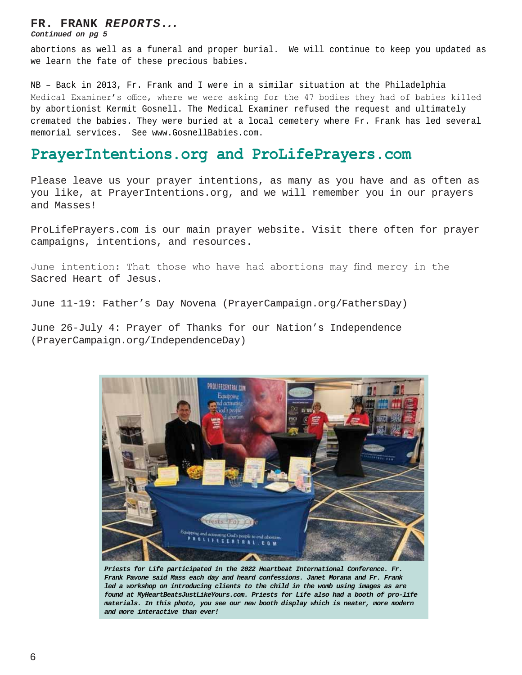#### **FR. FRANK** *REPORTS...*

*Continued on pg 5*

abortions as well as a funeral and proper burial. We will continue to keep you updated as we learn the fate of these precious babies.

NB – Back in 2013, Fr. Frank and I were in a similar situation at the Philadelphia Medical Examiner's office, where we were asking for the 47 bodies they had of babies killed by abortionist Kermit Gosnell. The Medical Examiner refused the request and ultimately cremated the babies. They were buried at a local cemetery where Fr. Frank has led several memorial services. See www.GosnellBabies.com.

### PrayerIntentions.org and ProLifePrayers.com

Please leave us your prayer intentions, as many as you have and as often as you like, at PrayerIntentions.org, and we will remember you in our prayers and Masses!

ProLifePrayers.com is our main prayer website. Visit there often for prayer campaigns, intentions, and resources.

June intention: That those who have had abortions may find mercy in the Sacred Heart of Jesus.

June 11-19: Father's Day Novena (PrayerCampaign.org/FathersDay)

June 26-July 4: Prayer of Thanks for our Nation's Independence (PrayerCampaign.org/IndependenceDay)



*Priests for Life participated in the 2022 Heartbeat International Conference. Fr. Frank Pavone said Mass each day and heard confessions. Janet Morana and Fr. Frank led a workshop on introducing clients to the child in the womb using images as are found at MyHeartBeatsJustLikeYours.com. Priests for Life also had a booth of pro-life materials. In this photo, you see our new booth display which is neater, more modern and more interactive than ever!*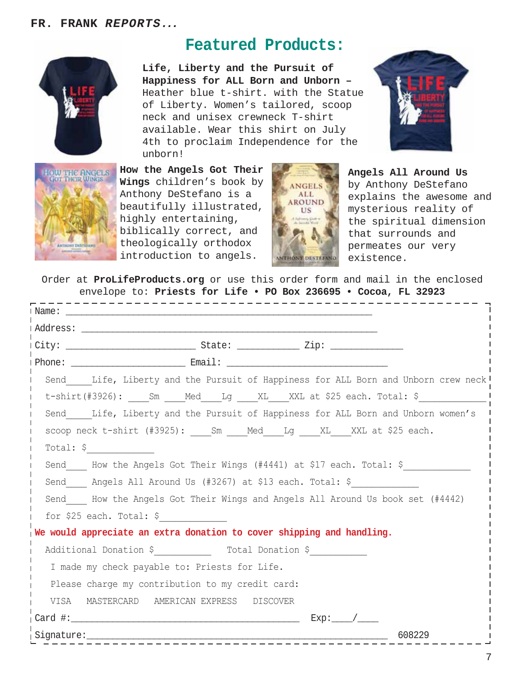

OW THE ANGELS

# **Featured Products:**

**Life, Liberty and the Pursuit of Happiness for ALL Born and Unborn –**  Heather blue t-shirt. with the Statue of Liberty. Women's tailored, scoop neck and unisex crewneck T-shirt available. Wear this shirt on July 4th to proclaim Independence for the unborn!

**How the Angels Got Their Wings** children's book by Anthony DeStefano is a beautifully illustrated, highly entertaining, biblically correct, and theologically orthodox introduction to angels.



**Angels All Around Us**  by Anthony DeStefano explains the awesome and mysterious reality of the spiritual dimension that surrounds and permeates our very existence.

Order at **ProLifeProducts.org** or use this order form and mail in the enclosed envelope to: **Priests for Life • PO Box 236695 • Cocoa, FL 32923**

| I Name:                                                                           |
|-----------------------------------------------------------------------------------|
|                                                                                   |
|                                                                                   |
|                                                                                   |
| Send Life, Liberty and the Pursuit of Happiness for ALL Born and Unborn crew neck |
| t-shirt(#3926): Sm ___Med____Lg ____XL___XXL at \$25 each. Total: \$              |
| Send Life, Liberty and the Pursuit of Happiness for ALL Born and Unborn women's   |
| scoop neck t-shirt (#3925): Sm _ Med Lg _ XL XXL at \$25 each.                    |
| Total: $\frac{1}{2}$                                                              |
| Send Mow the Angels Got Their Wings (#4441) at \$17 each. Total: \$               |
| Send Angels All Around Us (#3267) at \$13 each. Total: \$                         |
| Send I How the Angels Got Their Wings and Angels All Around Us book set (#4442)   |
| for \$25 each. Total: $\frac{1}{2}$                                               |
| We would appreciate an extra donation to cover shipping and handling.             |
| Additional Donation \$ Total Donation \$                                          |
| I made my check payable to: Priests for Life.                                     |
| Please charge my contribution to my credit card:                                  |
| VISA MASTERCARD AMERICAN EXPRESS DISCOVER                                         |
| $Exp:$ /                                                                          |
| 608229<br>Signature:<br>- - - - - - - - - - - - - - - - - -                       |